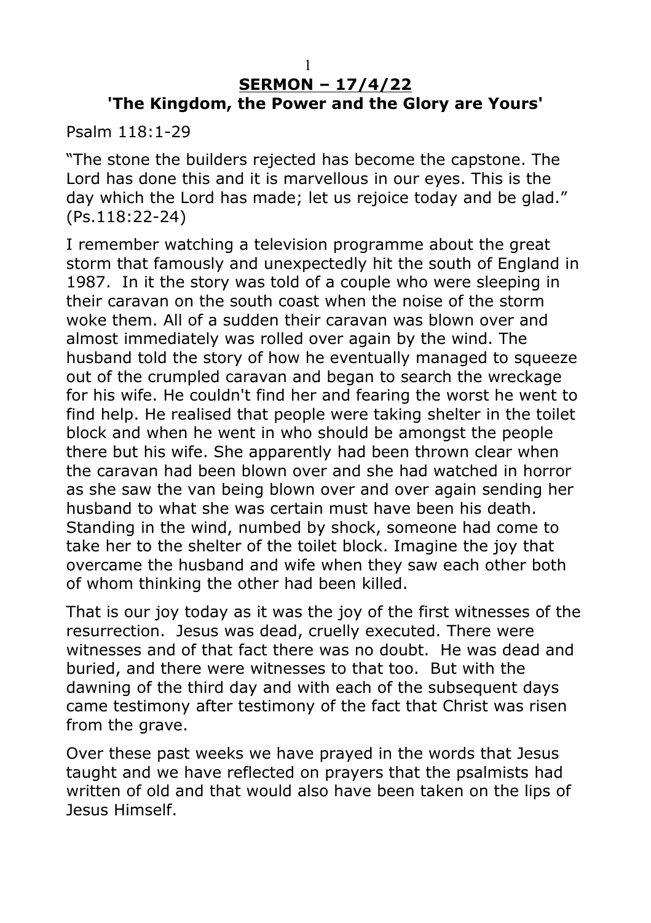## **SERMON – 17/4/22 'The Kingdom, the Power and the Glory are Yours'**

Psalm 118:1-29

"The stone the builders rejected has become the capstone. The Lord has done this and it is marvellous in our eyes. This is the day which the Lord has made; let us rejoice today and be glad." (Ps.118:22-24)

I remember watching a television programme about the great storm that famously and unexpectedly hit the south of England in 1987. In it the story was told of a couple who were sleeping in their caravan on the south coast when the noise of the storm woke them. All of a sudden their caravan was blown over and almost immediately was rolled over again by the wind. The husband told the story of how he eventually managed to squeeze out of the crumpled caravan and began to search the wreckage for his wife. He couldn't find her and fearing the worst he went to find help. He realised that people were taking shelter in the toilet block and when he went in who should be amongst the people there but his wife. She apparently had been thrown clear when the caravan had been blown over and she had watched in horror as she saw the van being blown over and over again sending her husband to what she was certain must have been his death. Standing in the wind, numbed by shock, someone had come to take her to the shelter of the toilet block. Imagine the joy that overcame the husband and wife when they saw each other both of whom thinking the other had been killed.

That is our joy today as it was the joy of the first witnesses of the resurrection. Jesus was dead, cruelly executed. There were witnesses and of that fact there was no doubt. He was dead and buried, and there were witnesses to that too. But with the dawning of the third day and with each of the subsequent days came testimony after testimony of the fact that Christ was risen from the grave.

Over these past weeks we have prayed in the words that Jesus taught and we have reflected on prayers that the psalmists had written of old and that would also have been taken on the lips of Jesus Himself.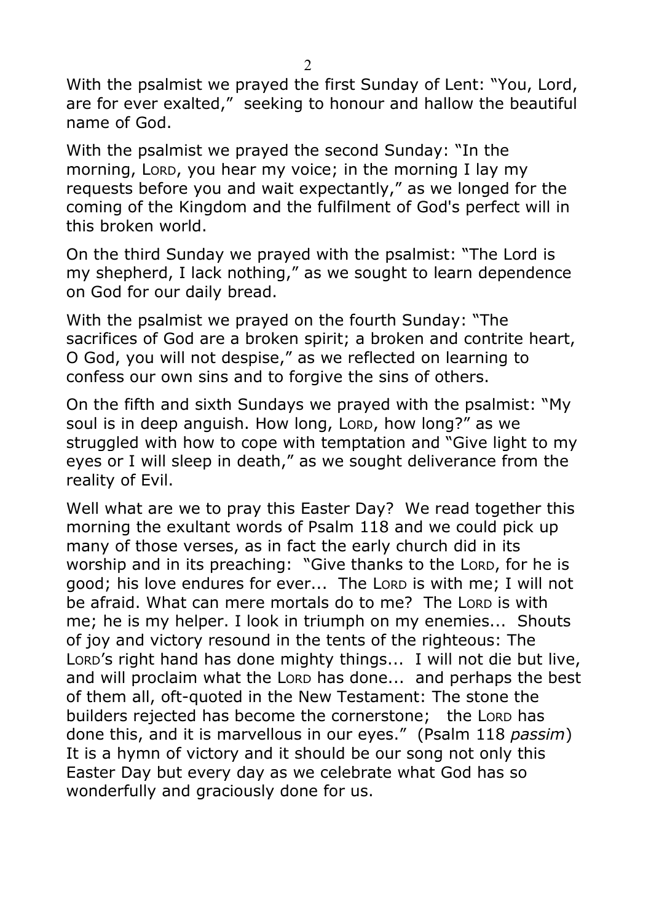With the psalmist we prayed the first Sunday of Lent: "You, Lord, are for ever exalted," seeking to honour and hallow the beautiful name of God.

With the psalmist we prayed the second Sunday: "In the morning, LORD, you hear my voice; in the morning I lay my requests before you and wait expectantly," as we longed for the coming of the Kingdom and the fulfilment of God's perfect will in this broken world.

On the third Sunday we prayed with the psalmist: "The Lord is my shepherd, I lack nothing," as we sought to learn dependence on God for our daily bread.

With the psalmist we prayed on the fourth Sunday: "The sacrifices of God are a broken spirit; a broken and contrite heart, O God, you will not despise," as we reflected on learning to confess our own sins and to forgive the sins of others.

On the fifth and sixth Sundays we prayed with the psalmist: "My soul is in deep anguish. How long, LORD, how long?" as we struggled with how to cope with temptation and "Give light to my eyes or I will sleep in death," as we sought deliverance from the reality of Evil.

Well what are we to pray this Easter Day? We read together this morning the exultant words of Psalm 118 and we could pick up many of those verses, as in fact the early church did in its worship and in its preaching: "Give thanks to the LORD, for he is good; his love endures for ever... The LORD is with me; I will not be afraid. What can mere mortals do to me? The LORD is with me; he is my helper. I look in triumph on my enemies... Shouts of joy and victory resound in the tents of the righteous: The LORD's right hand has done mighty things... I will not die but live, and will proclaim what the LORD has done... and perhaps the best of them all, oft-quoted in the New Testament: The stone the builders rejected has become the cornerstone; the LORD has done this, and it is marvellous in our eyes." (Psalm 118 *passim*) It is a hymn of victory and it should be our song not only this Easter Day but every day as we celebrate what God has so wonderfully and graciously done for us.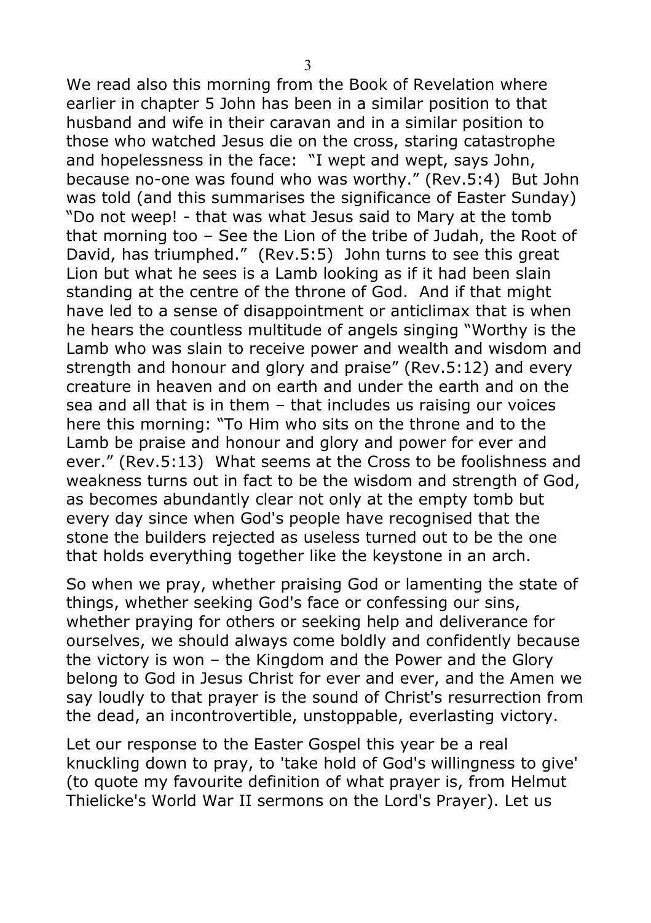We read also this morning from the Book of Revelation where earlier in chapter 5 John has been in a similar position to that husband and wife in their caravan and in a similar position to those who watched Jesus die on the cross, staring catastrophe and hopelessness in the face: "I wept and wept, says John, because no-one was found who was worthy." (Rev.5:4) But John was told (and this summarises the significance of Easter Sunday) "Do not weep! - that was what Jesus said to Mary at the tomb that morning too – See the Lion of the tribe of Judah, the Root of David, has triumphed." (Rev.5:5) John turns to see this great Lion but what he sees is a Lamb looking as if it had been slain standing at the centre of the throne of God. And if that might have led to a sense of disappointment or anticlimax that is when he hears the countless multitude of angels singing "Worthy is the Lamb who was slain to receive power and wealth and wisdom and strength and honour and glory and praise" (Rev.5:12) and every creature in heaven and on earth and under the earth and on the sea and all that is in them – that includes us raising our voices here this morning: "To Him who sits on the throne and to the Lamb be praise and honour and glory and power for ever and ever." (Rev.5:13) What seems at the Cross to be foolishness and weakness turns out in fact to be the wisdom and strength of God, as becomes abundantly clear not only at the empty tomb but every day since when God's people have recognised that the stone the builders rejected as useless turned out to be the one that holds everything together like the keystone in an arch.

So when we pray, whether praising God or lamenting the state of things, whether seeking God's face or confessing our sins, whether praying for others or seeking help and deliverance for ourselves, we should always come boldly and confidently because the victory is won – the Kingdom and the Power and the Glory belong to God in Jesus Christ for ever and ever, and the Amen we say loudly to that prayer is the sound of Christ's resurrection from the dead, an incontrovertible, unstoppable, everlasting victory.

Let our response to the Easter Gospel this year be a real knuckling down to pray, to 'take hold of God's willingness to give' (to quote my favourite definition of what prayer is, from Helmut Thielicke's World War II sermons on the Lord's Prayer). Let us